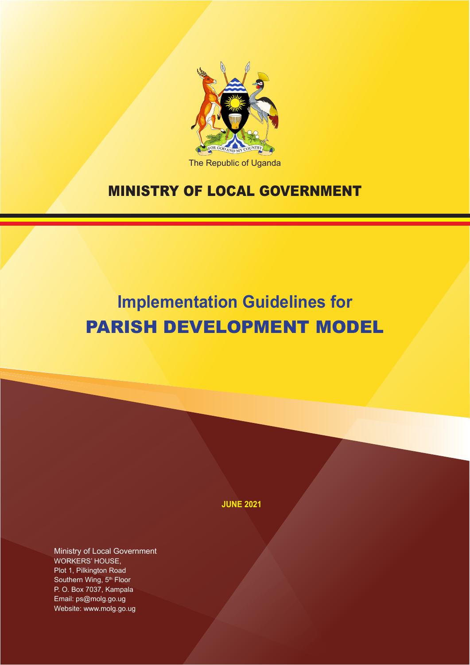

# MINISTRY OF LOCAL GOVERNMENT

# **Implementation Guidelines for** PARISH DEVELOPMENT MODEL

**JUNE 2021**

Ministry of Local Government WORKERS' HOUSE, Plot 1, Pilkington Road Southern Wing, 5<sup>th</sup> Floor P. O. Box 7037, Kampala Email: ps@molg.go.ug Website: www.molg.go.ug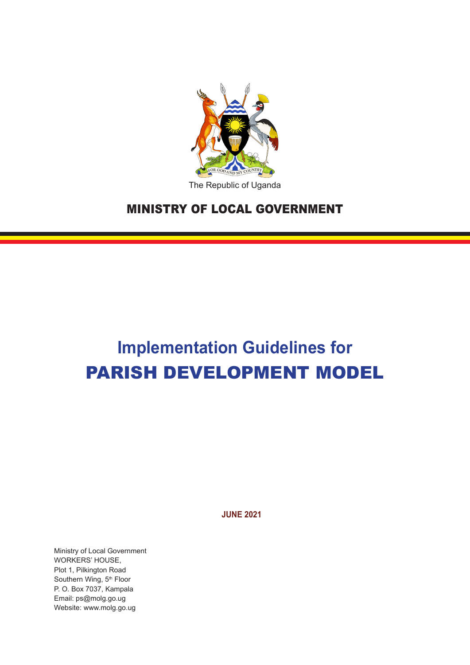

The Republic of Uganda

## MINISTRY OF LOCAL GOVERNMENT

# **Implementation Guidelines for** PARISH DEVELOPMENT MODEL

**JUNE 2021**

Ministry of Local Government WORKERS' HOUSE, Plot 1, Pilkington Road Southern Wing, 5<sup>th</sup> Floor P. O. Box 7037, Kampala Email: ps@molg.go.ug Website: www.molg.go.ug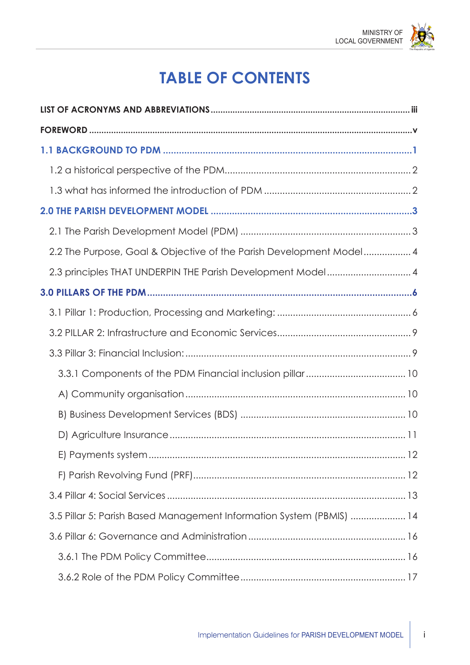

## **TABLE OF CONTENTS**

| 2.2 The Purpose, Goal & Objective of the Parish Development Model 4  |  |
|----------------------------------------------------------------------|--|
| 2.3 principles THAT UNDERPIN THE Parish Development Model 4          |  |
|                                                                      |  |
|                                                                      |  |
|                                                                      |  |
|                                                                      |  |
|                                                                      |  |
|                                                                      |  |
|                                                                      |  |
|                                                                      |  |
|                                                                      |  |
|                                                                      |  |
|                                                                      |  |
| 3.5 Pillar 5: Parish Based Management Information System (PBMIS)  14 |  |
|                                                                      |  |
|                                                                      |  |
|                                                                      |  |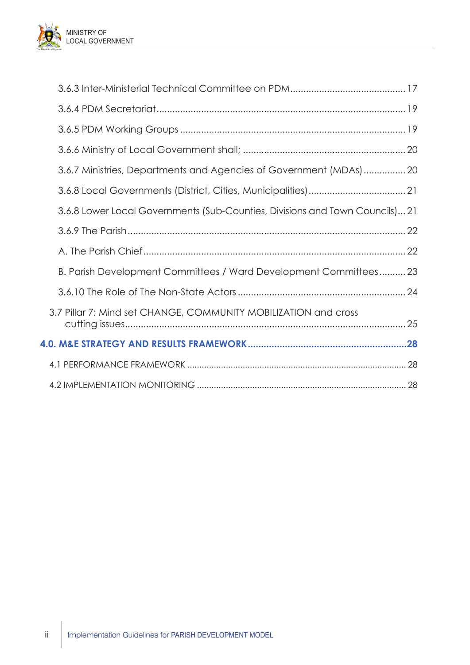

| 3.6.7 Ministries, Departments and Agencies of Government (MDAs)20           |
|-----------------------------------------------------------------------------|
|                                                                             |
| 3.6.8 Lower Local Governments (Sub-Counties, Divisions and Town Councils)21 |
|                                                                             |
|                                                                             |
| B. Parish Development Committees / Ward Development Committees23            |
|                                                                             |
| 3.7 Pillar 7: Mind set CHANGE, COMMUNITY MOBILIZATION and cross             |
|                                                                             |
|                                                                             |
|                                                                             |

ii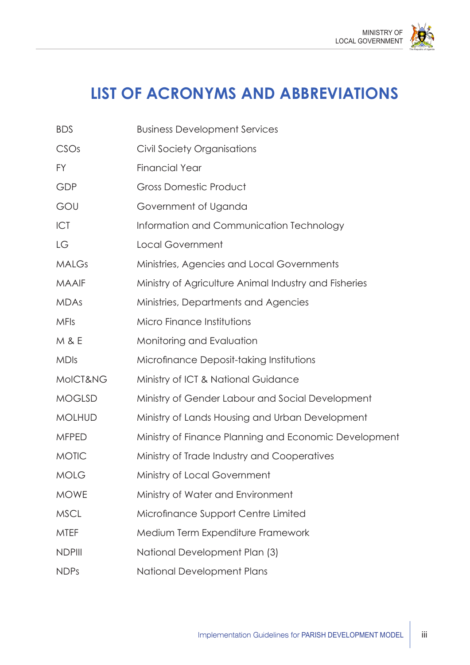The Republic of Uganda

# **LIST OF ACRONYMS AND ABBREVIATIONS**

| <b>BDS</b>       | <b>Business Development Services</b>                  |  |  |
|------------------|-------------------------------------------------------|--|--|
| CSO <sub>s</sub> | <b>Civil Society Organisations</b>                    |  |  |
| FY               | <b>Financial Year</b>                                 |  |  |
| GDP              | <b>Gross Domestic Product</b>                         |  |  |
| GOU              | Government of Uganda                                  |  |  |
| ICT              | Information and Communication Technology              |  |  |
| LG               | <b>Local Government</b>                               |  |  |
| <b>MALGs</b>     | Ministries, Agencies and Local Governments            |  |  |
| <b>MAAIF</b>     | Ministry of Agriculture Animal Industry and Fisheries |  |  |
| <b>MDAs</b>      | Ministries, Departments and Agencies                  |  |  |
| <b>MFIs</b>      | Micro Finance Institutions                            |  |  |
| <b>M &amp; E</b> | Monitoring and Evaluation                             |  |  |
| <b>MDIs</b>      | Microfinance Deposit-taking Institutions              |  |  |
| MoICT&NG         | Ministry of ICT & National Guidance                   |  |  |
| <b>MOGLSD</b>    | Ministry of Gender Labour and Social Development      |  |  |
| <b>MOLHUD</b>    | Ministry of Lands Housing and Urban Development       |  |  |
| <b>MFPED</b>     | Ministry of Finance Planning and Economic Development |  |  |
| <b>MOTIC</b>     | Ministry of Trade Industry and Cooperatives           |  |  |
| <b>MOLG</b>      | Ministry of Local Government                          |  |  |
| <b>MOWE</b>      | Ministry of Water and Environment                     |  |  |
| <b>MSCL</b>      | Microfinance Support Centre Limited                   |  |  |
| <b>MTEF</b>      | Medium Term Expenditure Framework                     |  |  |
| <b>NDPIII</b>    | National Development Plan (3)                         |  |  |
| <b>NDPs</b>      | National Development Plans                            |  |  |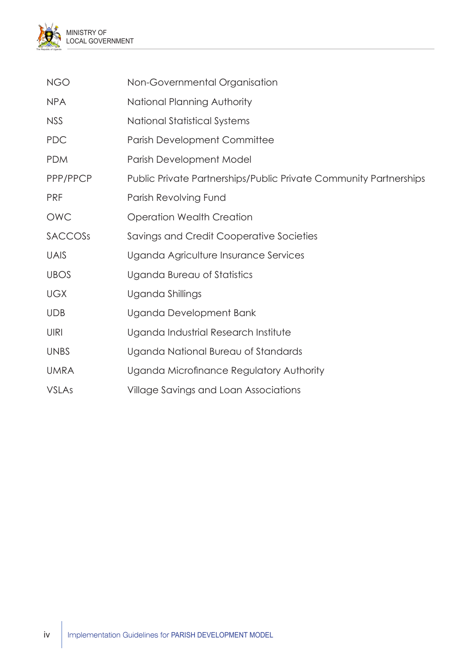

| <b>NGO</b>   | Non-Governmental Organisation                                     |
|--------------|-------------------------------------------------------------------|
| <b>NPA</b>   | National Planning Authority                                       |
| <b>NSS</b>   | National Statistical Systems                                      |
| <b>PDC</b>   | <b>Parish Development Committee</b>                               |
| <b>PDM</b>   | Parish Development Model                                          |
| PPP/PPCP     | Public Private Partnerships/Public Private Community Partnerships |
| <b>PRF</b>   | Parish Revolving Fund                                             |
| <b>OWC</b>   | <b>Operation Wealth Creation</b>                                  |
| SACCOSS      | Savings and Credit Cooperative Societies                          |
| <b>UAIS</b>  | Uganda Agriculture Insurance Services                             |
| <b>UBOS</b>  | Uganda Bureau of Statistics                                       |
| <b>UGX</b>   | Uganda Shillings                                                  |
| <b>UDB</b>   | Uganda Development Bank                                           |
| <b>UIRI</b>  | Uganda Industrial Research Institute                              |
| <b>UNBS</b>  | Uganda National Bureau of Standards                               |
| <b>UMRA</b>  | Uganda Microfinance Regulatory Authority                          |
| <b>VSLAs</b> | Village Savings and Loan Associations                             |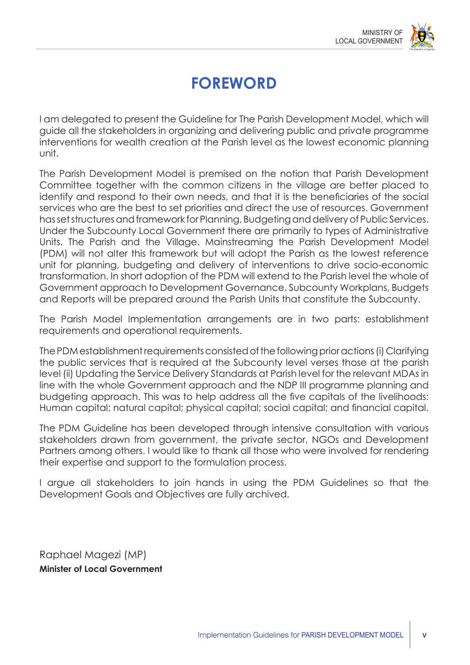

## **FOREWORD**

I am delegated to present the Guideline for The Parish Development Model, which will guide all the stakeholders in organizing and delivering public and private programme interventions for wealth creation at the Parish level as the lowest economic planning unit.

The Parish Development Model is premised on the notion that Parish Development Committee together with the common citizens in the village are better placed to identify and respond to their own needs, and that it is the beneficiaries of the social services who are the best to set priorities and direct the use of resources. Government has set structures and framework for Planning, Budgeting and delivery of Public Services. Under the Subcounty Local Government there are primarily to types of Administrative Units. The Parish and the Village. Mainstreaming the Parish Development Model (PDM) will not alter this framework but will adopt the Parish as the lowest reference unit for planning, budgeting and delivery of interventions to drive socio-economic transformation. In short adoption of the PDM will extend to the Parish level the whole of Government approach to Development Governance. Subcounty Workplans, Budgets and Reports will be prepared around the Parish Units that constitute the Subcounty.

The Parish Model Implementation arrangements are in two parts: establishment requirements and operational requirements.

The PDM establishment requirements consisted of the following prior actions (i) Clarifying the public services that is required at the Subcounty level verses those at the parish level (ii) Updating the Service Delivery Standards at Parish level for the relevant MDAs in line with the whole Government approach and the NDP III programme planning and budgeting approach. This was to help address all the five capitals of the livelihoods: Human capital; natural capital; physical capital; social capital; and financial capital.

The PDM Guideline has been developed through intensive consultation with various stakeholders drawn from government, the private sector, NGOs and Development Partners among others. I would like to thank all those who were involved for rendering their expertise and support to the formulation process.

I argue all stakeholders to join hands in using the PDM Guidelines so that the Development Goals and Objectives are fully archived.

Raphael Magezi (MP) **Minister of Local Government**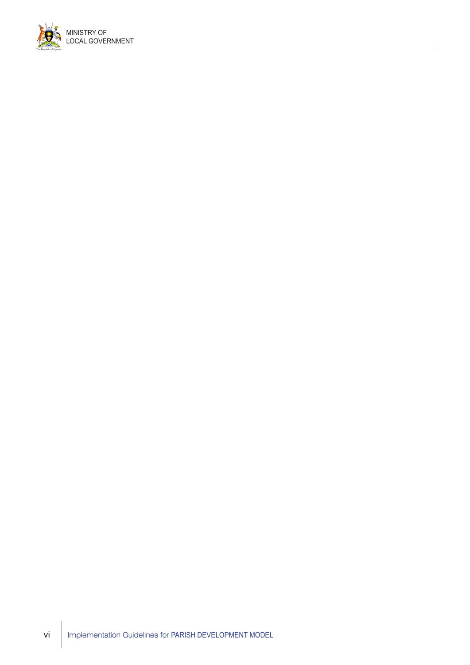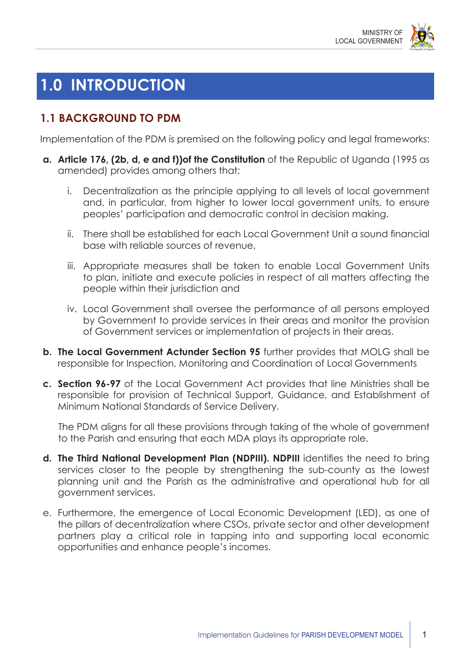

## **1.0 INTRODUCTION**

## **1.1 BACKGROUND TO PDM**

Implementation of the PDM is premised on the following policy and legal frameworks:

- **a. Article 176, (2b, d, e and f))of the Constitution** of the Republic of Uganda (1995 as amended) provides among others that;
	- i. Decentralization as the principle applying to all levels of local government and, in particular, from higher to lower local government units, to ensure peoples' participation and democratic control in decision making.
	- ii. There shall be established for each Local Government Unit a sound financial base with reliable sources of revenue,
	- iii. Appropriate measures shall be taken to enable Local Government Units to plan, initiate and execute policies in respect of all matters affecting the people within their jurisdiction and
	- iv. Local Government shall oversee the performance of all persons employed by Government to provide services in their areas and monitor the provision of Government services or implementation of projects in their areas.
- **b. The Local Government Actunder Section 95** further provides that MOLG shall be responsible for Inspection, Monitoring and Coordination of Local Governments
- **c. Section 96-97** of the Local Government Act provides that line Ministries shall be responsible for provision of Technical Support, Guidance, and Establishment of Minimum National Standards of Service Delivery.

The PDM aligns for all these provisions through taking of the whole of government to the Parish and ensuring that each MDA plays its appropriate role.

- **d. The Third National Development Plan (NDPIII). NDPIII** identifies the need to bring services closer to the people by strengthening the sub-county as the lowest planning unit and the Parish as the administrative and operational hub for all government services.
- e. Furthermore, the emergence of Local Economic Development (LED), as one of the pillars of decentralization where CSOs, private sector and other development partners play a critical role in tapping into and supporting local economic opportunities and enhance people's incomes.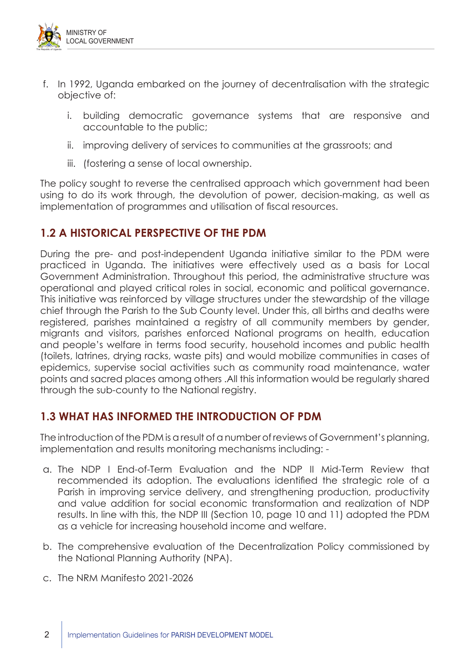

- f. In 1992, Uganda embarked on the journey of decentralisation with the strategic objective of:
	- i. building democratic governance systems that are responsive and accountable to the public;
	- ii. improving delivery of services to communities at the grassroots; and
	- iii. (fostering a sense of local ownership.

The policy sought to reverse the centralised approach which government had been using to do its work through, the devolution of power, decision-making, as well as implementation of programmes and utilisation of fiscal resources.

## **1.2 A HISTORICAL PERSPECTIVE OF THE PDM**

During the pre- and post-independent Uganda initiative similar to the PDM were practiced in Uganda. The initiatives were effectively used as a basis for Local Government Administration. Throughout this period, the administrative structure was operational and played critical roles in social, economic and political governance. This initiative was reinforced by village structures under the stewardship of the village chief through the Parish to the Sub County level. Under this, all births and deaths were registered, parishes maintained a registry of all community members by gender, migrants and visitors, parishes enforced National programs on health, education and people's welfare in terms food security, household incomes and public health (toilets, latrines, drying racks, waste pits) and would mobilize communities in cases of epidemics, supervise social activities such as community road maintenance, water points and sacred places among others .All this information would be regularly shared through the sub-county to the National registry.

## **1.3 WHAT HAS INFORMED THE INTRODUCTION OF PDM**

The introduction of the PDM is a result of a number of reviews of Government's planning, implementation and results monitoring mechanisms including: -

- a. The NDP I End-of-Term Evaluation and the NDP II Mid-Term Review that recommended its adoption. The evaluations identified the strategic role of a Parish in improving service delivery, and strengthening production, productivity and value addition for social economic transformation and realization of NDP results. In line with this, the NDP III (Section 10, page 10 and 11) adopted the PDM as a vehicle for increasing household income and welfare.
- b. The comprehensive evaluation of the Decentralization Policy commissioned by the National Planning Authority (NPA).
- c. The NRM Manifesto 2021-2026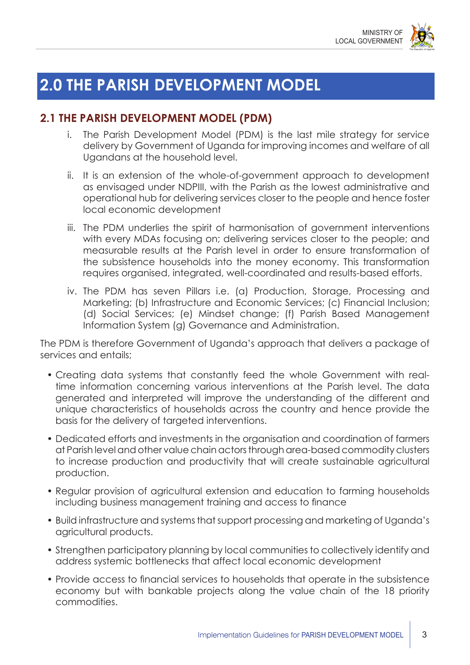

## **2.0 THE PARISH DEVELOPMENT MODEL**

## **2.1 THE PARISH DEVELOPMENT MODEL (PDM)**

- i. The Parish Development Model (PDM) is the last mile strategy for service delivery by Government of Uganda for improving incomes and welfare of all Ugandans at the household level.
- ii. It is an extension of the whole-of-government approach to development as envisaged under NDPIII, with the Parish as the lowest administrative and operational hub for delivering services closer to the people and hence foster local economic development
- iii. The PDM underlies the spirit of harmonisation of government interventions with every MDAs focusing on; delivering services closer to the people; and measurable results at the Parish level in order to ensure transformation of the subsistence households into the money economy. This transformation requires organised, integrated, well-coordinated and results-based efforts.
- iv. The PDM has seven Pillars i.e. (a) Production, Storage, Processing and Marketing; (b) Infrastructure and Economic Services; (c) Financial Inclusion; (d) Social Services; (e) Mindset change; (f) Parish Based Management Information System (g) Governance and Administration.

The PDM is therefore Government of Uganda's approach that delivers a package of services and entails;

- Creating data systems that constantly feed the whole Government with realtime information concerning various interventions at the Parish level. The data generated and interpreted will improve the understanding of the different and unique characteristics of households across the country and hence provide the basis for the delivery of targeted interventions.
- Dedicated efforts and investments in the organisation and coordination of farmers at Parish level and other value chain actors through area-based commodity clusters to increase production and productivity that will create sustainable agricultural production.
- Regular provision of agricultural extension and education to farming households including business management training and access to finance
- Build infrastructure and systems that support processing and marketing of Uganda's agricultural products.
- Strengthen participatory planning by local communities to collectively identify and address systemic bottlenecks that affect local economic development
- Provide access to financial services to households that operate in the subsistence economy but with bankable projects along the value chain of the 18 priority commodities.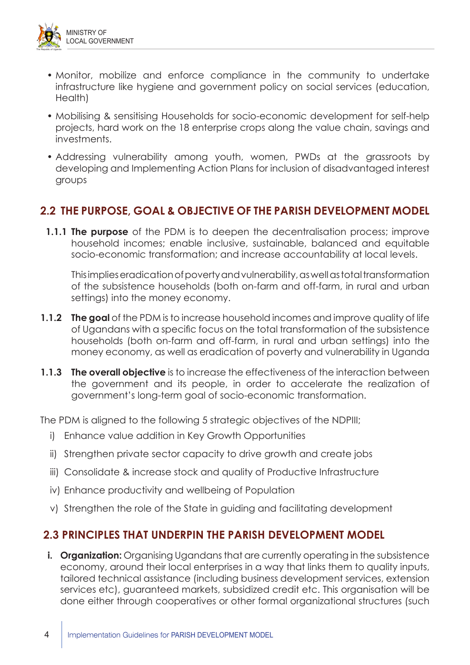The Republic of Uganda

- Monitor, mobilize and enforce compliance in the community to undertake infrastructure like hygiene and government policy on social services (education, Health)
- Mobilising & sensitising Households for socio-economic development for self-help projects, hard work on the 18 enterprise crops along the value chain, savings and investments.
- Addressing vulnerability among youth, women, PWDs at the grassroots by developing and Implementing Action Plans for inclusion of disadvantaged interest groups

## **2.2 THE PURPOSE, GOAL & OBJECTIVE OF THE PARISH DEVELOPMENT MODEL**

 **1.1.1 The purpose** of the PDM is to deepen the decentralisation process; improve household incomes; enable inclusive, sustainable, balanced and equitable socio-economic transformation; and increase accountability at local levels.

This implies eradication of poverty and vulnerability, as well as total transformation of the subsistence households (both on-farm and off-farm, in rural and urban settings) into the money economy.

- **1.1.2 The goal** of the PDM is to increase household incomes and improve quality of life of Ugandans with a specific focus on the total transformation of the subsistence households (both on-farm and off-farm, in rural and urban settings) into the money economy, as well as eradication of poverty and vulnerability in Uganda
- **1.1.3 The overall objective** is to increase the effectiveness of the interaction between the government and its people, in order to accelerate the realization of government's long-term goal of socio-economic transformation.

The PDM is aligned to the following 5 strategic objectives of the NDPIII;

- i) Enhance value addition in Key Growth Opportunities
- ii) Strengthen private sector capacity to drive growth and create jobs
- iii) Consolidate & increase stock and quality of Productive Infrastructure
- iv) Enhance productivity and wellbeing of Population
- v) Strengthen the role of the State in guiding and facilitating development

## **2.3 PRINCIPLES THAT UNDERPIN THE PARISH DEVELOPMENT MODEL**

**i. Organization:** Organising Ugandans that are currently operating in the subsistence economy, around their local enterprises in a way that links them to quality inputs, tailored technical assistance (including business development services, extension services etc), guaranteed markets, subsidized credit etc. This organisation will be done either through cooperatives or other formal organizational structures (such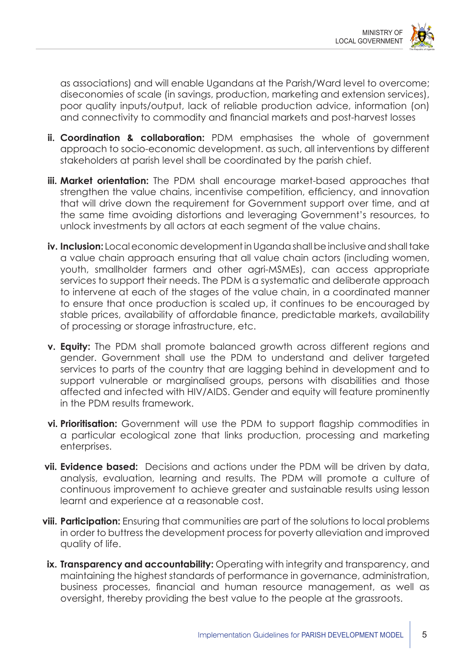

as associations) and will enable Ugandans at the Parish/Ward level to overcome; diseconomies of scale (in savings, production, marketing and extension services), poor quality inputs/output, lack of reliable production advice, information (on) and connectivity to commodity and financial markets and post-harvest losses

- **ii. Coordination & collaboration:** PDM emphasises the whole of government approach to socio-economic development. as such, all interventions by different stakeholders at parish level shall be coordinated by the parish chief.
- **iii. Market orientation:** The PDM shall encourage market-based approaches that strengthen the value chains, incentivise competition, efficiency, and innovation that will drive down the requirement for Government support over time, and at the same time avoiding distortions and leveraging Government's resources, to unlock investments by all actors at each segment of the value chains.
- **iv. Inclusion:** Local economic development in Uganda shall be inclusive and shall take a value chain approach ensuring that all value chain actors (including women, youth, smallholder farmers and other agri-MSMEs), can access appropriate services to support their needs. The PDM is a systematic and deliberate approach to intervene at each of the stages of the value chain, in a coordinated manner to ensure that once production is scaled up, it continues to be encouraged by stable prices, availability of affordable finance, predictable markets, availability of processing or storage infrastructure, etc.
- **v. Equity:** The PDM shall promote balanced growth across different regions and gender. Government shall use the PDM to understand and deliver targeted services to parts of the country that are lagging behind in development and to support vulnerable or marginalised groups, persons with disabilities and those affected and infected with HIV/AIDS. Gender and equity will feature prominently in the PDM results framework.
- **vi. Prioritisation:** Government will use the PDM to support flagship commodities in a particular ecological zone that links production, processing and marketing enterprises.
- **vii. Evidence based:** Decisions and actions under the PDM will be driven by data, analysis, evaluation, learning and results. The PDM will promote a culture of continuous improvement to achieve greater and sustainable results using lesson learnt and experience at a reasonable cost.
- **viii. Participation:** Ensuring that communities are part of the solutions to local problems in order to buttress the development process for poverty alleviation and improved quality of life.
- **ix. Transparency and accountability:** Operating with integrity and transparency, and maintaining the highest standards of performance in governance, administration, business processes, financial and human resource management, as well as oversight, thereby providing the best value to the people at the grassroots.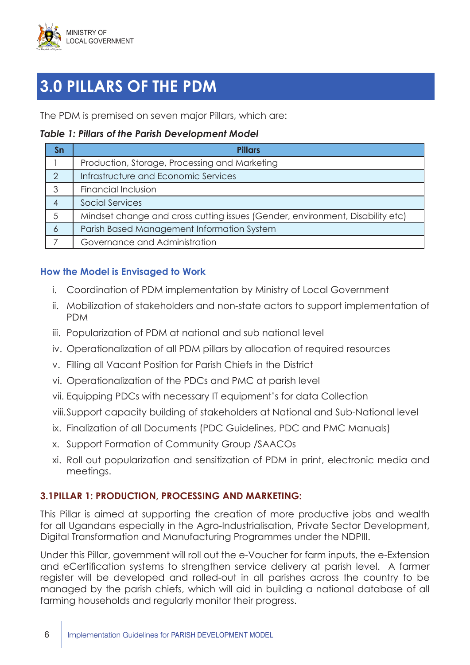

## **3.0 PILLARS OF THE PDM**

The PDM is premised on seven major Pillars, which are:

*Table 1: Pillars of the Parish Development Model* 

| Sn            | <b>Pillars</b>                                                                |
|---------------|-------------------------------------------------------------------------------|
|               | Production, Storage, Processing and Marketing                                 |
| $\mathcal{P}$ | Infrastructure and Economic Services                                          |
| 3             | <b>Financial Inclusion</b>                                                    |
|               | <b>Social Services</b>                                                        |
|               | Mindset change and cross cutting issues (Gender, environment, Disability etc) |
| 6             | Parish Based Management Information System                                    |
|               | Governance and Administration                                                 |

### **How the Model is Envisaged to Work**

- i. Coordination of PDM implementation by Ministry of Local Government
- ii. Mobilization of stakeholders and non-state actors to support implementation of PDM
- iii. Popularization of PDM at national and sub national level
- iv. Operationalization of all PDM pillars by allocation of required resources
- v. Filling all Vacant Position for Parish Chiefs in the District
- vi. Operationalization of the PDCs and PMC at parish level
- vii. Equipping PDCs with necessary IT equipment's for data Collection
- viii.Support capacity building of stakeholders at National and Sub-National level
- ix. Finalization of all Documents (PDC Guidelines, PDC and PMC Manuals)
- x. Support Formation of Community Group /SAACOs
- xi. Roll out popularization and sensitization of PDM in print, electronic media and meetings.

#### **3.1PILLAR 1: PRODUCTION, PROCESSING AND MARKETING:**

This Pillar is aimed at supporting the creation of more productive jobs and wealth for all Ugandans especially in the Agro-Industrialisation, Private Sector Development, Digital Transformation and Manufacturing Programmes under the NDPIII.

Under this Pillar, government will roll out the e-Voucher for farm inputs, the e-Extension and eCertification systems to strengthen service delivery at parish level. A farmer register will be developed and rolled-out in all parishes across the country to be managed by the parish chiefs, which will aid in building a national database of all farming households and regularly monitor their progress.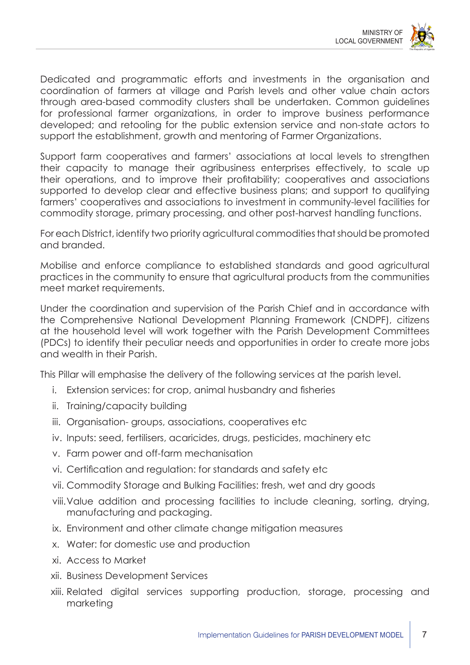

Dedicated and programmatic efforts and investments in the organisation and coordination of farmers at village and Parish levels and other value chain actors through area-based commodity clusters shall be undertaken. Common guidelines for professional farmer organizations, in order to improve business performance developed; and retooling for the public extension service and non-state actors to support the establishment, growth and mentoring of Farmer Organizations.

Support farm cooperatives and farmers' associations at local levels to strengthen their capacity to manage their agribusiness enterprises effectively, to scale up their operations, and to improve their profitability; cooperatives and associations supported to develop clear and effective business plans; and support to qualifying farmers' cooperatives and associations to investment in community-level facilities for commodity storage, primary processing, and other post-harvest handling functions.

For each District, identify two priority agricultural commodities that should be promoted and branded.

Mobilise and enforce compliance to established standards and good agricultural practices in the community to ensure that agricultural products from the communities meet market requirements.

Under the coordination and supervision of the Parish Chief and in accordance with the Comprehensive National Development Planning Framework (CNDPF), citizens at the household level will work together with the Parish Development Committees (PDCs) to identify their peculiar needs and opportunities in order to create more jobs and wealth in their Parish.

This Pillar will emphasise the delivery of the following services at the parish level.

- i. Extension services: for crop, animal husbandry and fisheries
- ii. Training/capacity building
- iii. Organisation- groups, associations, cooperatives etc
- iv. Inputs: seed, fertilisers, acaricides, drugs, pesticides, machinery etc
- v. Farm power and off-farm mechanisation
- vi. Certification and regulation: for standards and safety etc
- vii. Commodity Storage and Bulking Facilities: fresh, wet and dry goods
- viii.Value addition and processing facilities to include cleaning, sorting, drying, manufacturing and packaging.
- ix. Environment and other climate change mitigation measures
- x. Water: for domestic use and production
- xi. Access to Market
- xii. Business Development Services
- xiii. Related digital services supporting production, storage, processing and marketing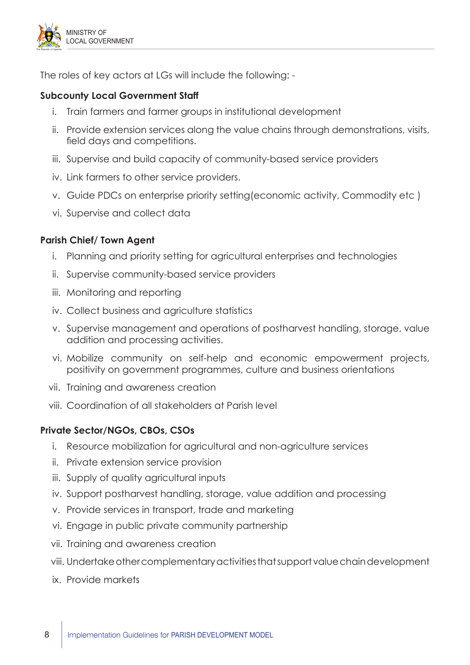

The roles of key actors at LGs will include the following: -

#### **Subcounty Local Government Staff**

- i. Train farmers and farmer groups in institutional development
- ii. Provide extension services along the value chains through demonstrations, visits, field days and competitions.
- iii. Supervise and build capacity of community-based service providers
- iv. Link farmers to other service providers.
- v. Guide PDCs on enterprise priority setting(economic activity, Commodity etc )
- vi. Supervise and collect data

#### **Parish Chief/ Town Agent**

- i. Planning and priority setting for agricultural enterprises and technologies
- ii. Supervise community-based service providers
- iii. Monitoring and reporting
- iv. Collect business and agriculture statistics
- v. Supervise management and operations of postharvest handling, storage, value addition and processing activities.
- vi. Mobilize community on self-help and economic empowerment projects, positivity on government programmes, culture and business orientations
- vii. Training and awareness creation
- viii. Coordination of all stakeholders at Parish level

#### **Private Sector/NGOs, CBOs, CSOs**

- i. Resource mobilization for agricultural and non-agriculture services
- ii. Private extension service provision
- iii. Supply of quality agricultural inputs
- iv. Support postharvest handling, storage, value addition and processing
- v. Provide services in transport, trade and marketing
- vi. Engage in public private community partnership
- vii. Training and awareness creation
- viii. Undertake other complementary activities that support value chain development
- ix. Provide markets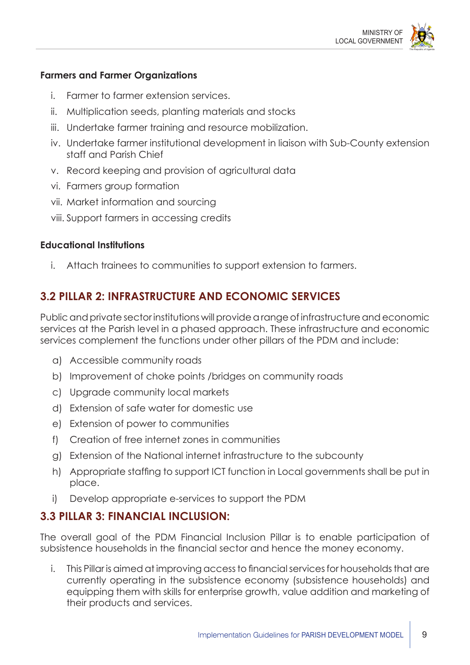

#### **Farmers and Farmer Organizations**

- i. Farmer to farmer extension services.
- ii. Multiplication seeds, planting materials and stocks
- iii. Undertake farmer training and resource mobilization.
- iv. Undertake farmer institutional development in liaison with Sub-County extension staff and Parish Chief
- v. Record keeping and provision of agricultural data
- vi. Farmers group formation
- vii. Market information and sourcing
- viii. Support farmers in accessing credits

#### **Educational Institutions**

i. Attach trainees to communities to support extension to farmers.

## **3.2 PILLAR 2: INFRASTRUCTURE AND ECONOMIC SERVICES**

Public and private sector institutions will provide a range of infrastructure and economic services at the Parish level in a phased approach. These infrastructure and economic services complement the functions under other pillars of the PDM and include:

- a) Accessible community roads
- b) Improvement of choke points /bridges on community roads
- c) Upgrade community local markets
- d) Extension of safe water for domestic use
- e) Extension of power to communities
- f) Creation of free internet zones in communities
- g) Extension of the National internet infrastructure to the subcounty
- h) Appropriate staffing to support ICT function in Local governments shall be put in place.
- i) Develop appropriate e-services to support the PDM

#### **3.3 PILLAR 3: FINANCIAL INCLUSION:**

The overall goal of the PDM Financial Inclusion Pillar is to enable participation of subsistence households in the financial sector and hence the money economy.

i. This Pillar is aimed at improving accessto financialservicesfor householdsthat are currently operating in the subsistence economy (subsistence households) and equipping them with skills for enterprise growth, value addition and marketing of their products and services.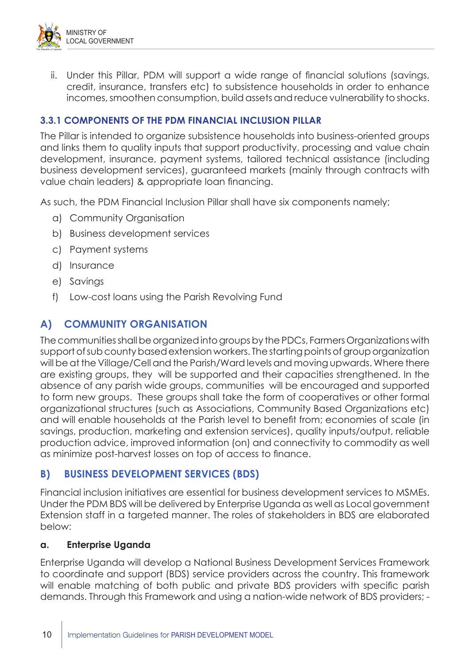

ii. Under this Pillar, PDM will support a wide range of financial solutions (savings, credit, insurance, transfers etc) to subsistence households in order to enhance incomes, smoothen consumption, build assets and reduce vulnerability to shocks.

#### **3.3.1 COMPONENTS OF THE PDM FINANCIAL INCLUSION PILLAR**

The Pillar is intended to organize subsistence households into business-oriented groups and links them to quality inputs that support productivity, processing and value chain development, insurance, payment systems, tailored technical assistance (including business development services), guaranteed markets (mainly through contracts with value chain leaders) & appropriate loan financing.

As such, the PDM Financial Inclusion Pillar shall have six components namely;

- a) Community Organisation
- b) Business development services
- c) Payment systems
- d) Insurance
- e) Savings
- f) Low-cost loans using the Parish Revolving Fund

### **A) COMMUNITY ORGANISATION**

The communities shall be organized into groups by the PDCs, Farmers Organizations with support of sub county based extension workers. The starting points of group organization will be at the Village/Cell and the Parish/Ward levels and moving upwards. Where there are existing groups, they will be supported and their capacities strengthened. In the absence of any parish wide groups, communities will be encouraged and supported to form new groups. These groups shall take the form of cooperatives or other formal organizational structures (such as Associations, Community Based Organizations etc) and will enable households at the Parish level to benefit from; economies of scale (in savings, production, marketing and extension services), quality inputs/output, reliable production advice, improved information (on) and connectivity to commodity as well as minimize post-harvest losses on top of access to finance.

#### **B) BUSINESS DEVELOPMENT SERVICES (BDS)**

Financial inclusion initiatives are essential for business development services to MSMEs. Under the PDM BDS will be delivered by Enterprise Uganda as well as Local government Extension staff in a targeted manner. The roles of stakeholders in BDS are elaborated below:

#### **a. Enterprise Uganda**

Enterprise Uganda will develop a National Business Development Services Framework to coordinate and support (BDS) service providers across the country. This framework will enable matching of both public and private BDS providers with specific parish demands. Through this Framework and using a nation-wide network of BDS providers; -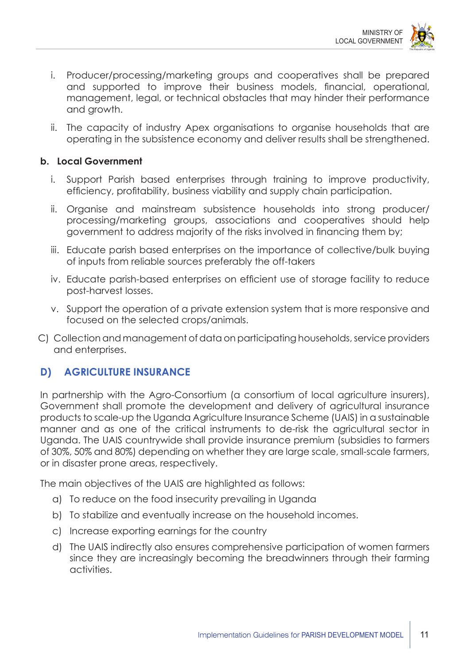

- i. Producer/processing/marketing groups and cooperatives shall be prepared and supported to improve their business models, financial, operational, management, legal, or technical obstacles that may hinder their performance and growth.
- ii. The capacity of industry Apex organisations to organise households that are operating in the subsistence economy and deliver results shall be strengthened.

#### **b. Local Government**

- i. Support Parish based enterprises through training to improve productivity, efficiency, profitability, business viability and supply chain participation.
- ii. Organise and mainstream subsistence households into strong producer/ processing/marketing groups, associations and cooperatives should help government to address majority of the risks involved in financing them by;
- iii. Educate parish based enterprises on the importance of collective/bulk buying of inputs from reliable sources preferably the off-takers
- iv. Educate parish-based enterprises on efficient use of storage facility to reduce post-harvest losses.
- v. Support the operation of a private extension system that is more responsive and focused on the selected crops/animals.
- C) Collection and management of data on participating households, service providers and enterprises.

#### **D) AGRICULTURE INSURANCE**

In partnership with the Agro-Consortium (a consortium of local agriculture insurers), Government shall promote the development and delivery of agricultural insurance products to scale-up the Uganda Agriculture Insurance Scheme (UAIS) in a sustainable manner and as one of the critical instruments to de-risk the agricultural sector in Uganda. The UAIS countrywide shall provide insurance premium (subsidies to farmers of 30%, 50% and 80%) depending on whether they are large scale, small-scale farmers, or in disaster prone areas, respectively.

The main objectives of the UAIS are highlighted as follows:

- a) To reduce on the food insecurity prevailing in Uganda
- b) To stabilize and eventually increase on the household incomes.
- c) Increase exporting earnings for the country
- d) The UAIS indirectly also ensures comprehensive participation of women farmers since they are increasingly becoming the breadwinners through their farming activities.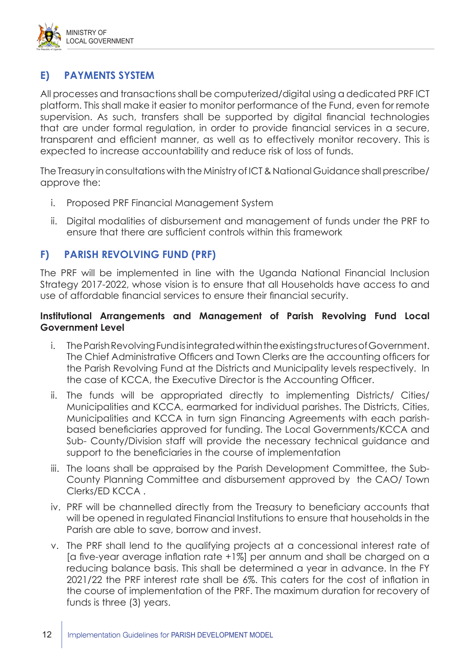

## **E) PAYMENTS SYSTEM**

All processes and transactions shall be computerized/digital using a dedicated PRF ICT platform. This shall make it easier to monitor performance of the Fund, even for remote supervision. As such, transfers shall be supported by digital financial technologies that are under formal regulation, in order to provide financial services in a secure, transparent and efficient manner, as well as to effectively monitor recovery. This is expected to increase accountability and reduce risk of loss of funds.

The Treasury in consultations with the Ministry of ICT & National Guidance shall prescribe/ approve the:

- i. Proposed PRF Financial Management System
- ii. Digital modalities of disbursement and management of funds under the PRF to ensure that there are sufficient controls within this framework

#### **F) PARISH REVOLVING FUND (PRF)**

The PRF will be implemented in line with the Uganda National Financial Inclusion Strategy 2017-2022, whose vision is to ensure that all Households have access to and use of affordable financial services to ensure their financial security.

#### **Institutional Arrangements and Management of Parish Revolving Fund Local Government Level**

- i. The Parish Revolving Fund is integrated within the existing structures of Government. The Chief Administrative Officers and Town Clerks are the accounting officers for the Parish Revolving Fund at the Districts and Municipality levels respectively. In the case of KCCA, the Executive Director is the Accounting Officer.
- ii. The funds will be appropriated directly to implementing Districts/ Cities/ Municipalities and KCCA, earmarked for individual parishes. The Districts, Cities, Municipalities and KCCA in turn sign Financing Agreements with each parishbased beneficiaries approved for funding. The Local Governments/KCCA and Sub- County/Division staff will provide the necessary technical guidance and support to the beneficiaries in the course of implementation
- iii. The loans shall be appraised by the Parish Development Committee, the Sub-County Planning Committee and disbursement approved by the CAO/ Town Clerks/ED KCCA .
- iv. PRF will be channelled directly from the Treasury to beneficiary accounts that will be opened in regulated Financial Institutions to ensure that households in the Parish are able to save, borrow and invest.
- v. The PRF shall lend to the qualifying projects at a concessional interest rate of [a five-year average inflation rate +1%] per annum and shall be charged on a reducing balance basis. This shall be determined a year in advance. In the FY 2021/22 the PRF interest rate shall be 6%. This caters for the cost of inflation in the course of implementation of the PRF. The maximum duration for recovery of funds is three (3) years.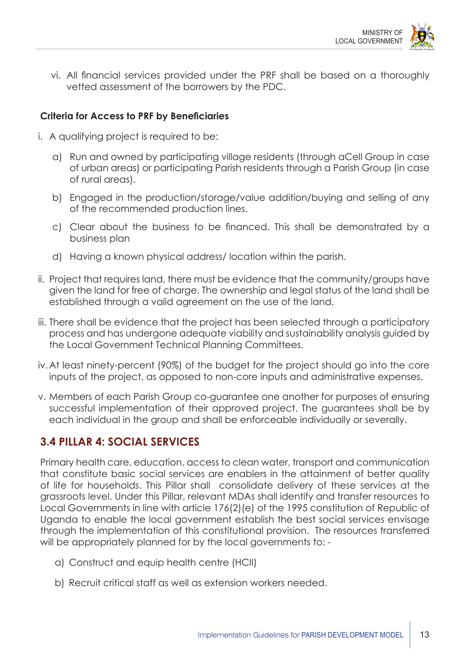

vi. All financial services provided under the PRF shall be based on a thoroughly vetted assessment of the borrowers by the PDC.

#### **Criteria for Access to PRF by Beneficiaries**

- i. A qualifying project is required to be:
	- a) Run and owned by participating village residents (through aCell Group in case of urban areas) or participating Parish residents through a Parish Group (in case of rural areas).
	- b) Engaged in the production/storage/value addition/buying and selling of any of the recommended production lines.
	- c) Clear about the business to be financed. This shall be demonstrated by a business plan
	- d) Having a known physical address/ location within the parish.
- ii. Project that requires land, there must be evidence that the community/groups have given the land for free of charge. The ownership and legal status of the land shall be established through a valid agreement on the use of the land.
- iii. There shall be evidence that the project has been selected through a participatory process and has undergone adequate viability and sustainability analysis guided by the Local Government Technical Planning Committees.
- iv.At least ninety-percent (90%) of the budget for the project should go into the core inputs of the project, as opposed to non-core inputs and administrative expenses.
- v. Members of each Parish Group co-guarantee one another for purposes of ensuring successful implementation of their approved project. The guarantees shall be by each individual in the group and shall be enforceable individually or severally.

## **3.4 PILLAR 4: SOCIAL SERVICES**

Primary health care, education, access to clean water, transport and communication that constitute basic social services are enablers in the attainment of better quality of life for households. This Pillar shall consolidate delivery of these services at the grassroots level. Under this Pillar, relevant MDAs shall identify and transfer resources to Local Governments in line with article 176(2)(e) of the 1995 constitution of Republic of Uganda to enable the local government establish the best social services envisage through the implementation of this constitutional provision. The resources transferred will be appropriately planned for by the local governments to: -

- a) Construct and equip health centre (HCII)
- b) Recruit critical staff as well as extension workers needed.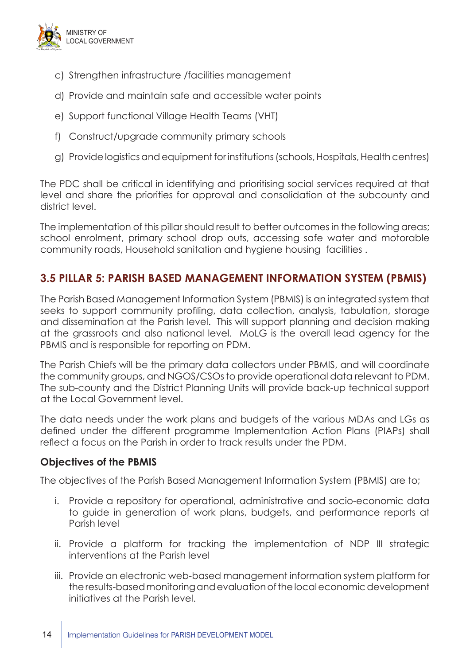

- c) Strengthen infrastructure /facilities management
- d) Provide and maintain safe and accessible water points
- e) Support functional Village Health Teams (VHT)
- f) Construct/upgrade community primary schools
- g) Provide logistics and equipment for institutions (schools, Hospitals, Health centres)

The PDC shall be critical in identifying and prioritising social services required at that level and share the priorities for approval and consolidation at the subcounty and district level.

The implementation of this pillar should result to better outcomes in the following areas; school enrolment, primary school drop outs, accessing safe water and motorable community roads, Household sanitation and hygiene housing facilities .

## **3.5 PILLAR 5: PARISH BASED MANAGEMENT INFORMATION SYSTEM (PBMIS)**

The Parish Based Management Information System (PBMIS) is an integrated system that seeks to support community profiling, data collection, analysis, tabulation, storage and dissemination at the Parish level. This will support planning and decision making at the grassroots and also national level. MoLG is the overall lead agency for the PBMIS and is responsible for reporting on PDM.

The Parish Chiefs will be the primary data collectors under PBMIS, and will coordinate the community groups, and NGOS/CSOs to provide operational data relevant to PDM. The sub-county and the District Planning Units will provide back-up technical support at the Local Government level.

The data needs under the work plans and budgets of the various MDAs and LGs as defined under the different programme Implementation Action Plans (PIAPs) shall reflect a focus on the Parish in order to track results under the PDM.

#### **Objectives of the PBMIS**

The objectives of the Parish Based Management Information System (PBMIS) are to;

- i. Provide a repository for operational, administrative and socio-economic data to guide in generation of work plans, budgets, and performance reports at Parish level
- ii. Provide a platform for tracking the implementation of NDP III strategic interventions at the Parish level
- iii. Provide an electronic web-based management information system platform for the results-based monitoring and evaluation of the local economic development initiatives at the Parish level.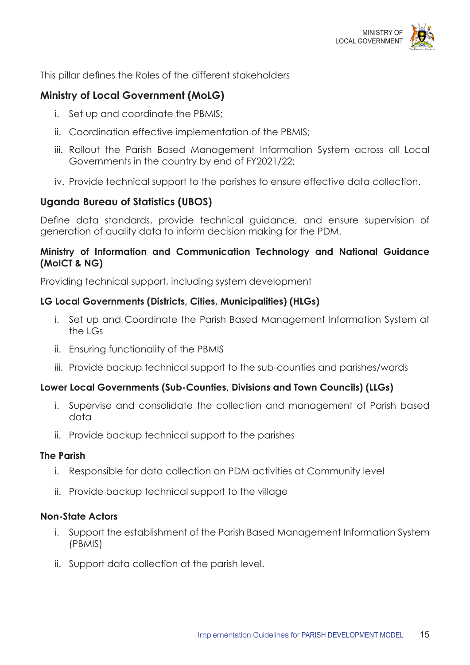

This pillar defines the Roles of the different stakeholders

## **Ministry of Local Government (MoLG)**

- i. Set up and coordinate the PBMIS;
- ii. Coordination effective implementation of the PBMIS;
- iii. Rollout the Parish Based Management Information System across all Local Governments in the country by end of FY2021/22;
- iv. Provide technical support to the parishes to ensure effective data collection.

#### **Uganda Bureau of Statistics (UBOS)**

Define data standards, provide technical guidance, and ensure supervision of generation of quality data to inform decision making for the PDM.

#### **Ministry of Information and Communication Technology and National Guidance (MoICT & NG)**

Providing technical support, including system development

#### **LG Local Governments (Districts, Cities, Municipalities) (HLGs)**

- i. Set up and Coordinate the Parish Based Management Information System at the LGs
- ii. Ensuring functionality of the PBMIS
- iii. Provide backup technical support to the sub-counties and parishes/wards

#### **Lower Local Governments (Sub-Counties, Divisions and Town Councils) (LLGs)**

- i. Supervise and consolidate the collection and management of Parish based data
- ii. Provide backup technical support to the parishes

#### **The Parish**

- i. Responsible for data collection on PDM activities at Community level
- ii. Provide backup technical support to the village

#### **Non-State Actors**

- i. Support the establishment of the Parish Based Management Information System (PBMIS)
- ii. Support data collection at the parish level.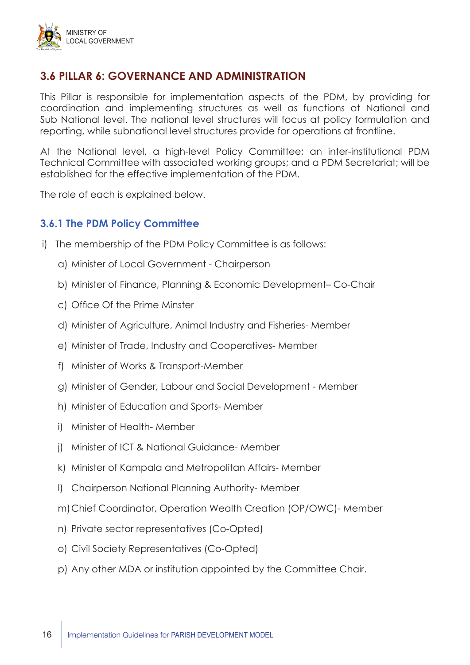

## **3.6 PILLAR 6: GOVERNANCE AND ADMINISTRATION**

This Pillar is responsible for implementation aspects of the PDM, by providing for coordination and implementing structures as well as functions at National and Sub National level. The national level structures will focus at policy formulation and reporting, while subnational level structures provide for operations at frontline.

At the National level, a high-level Policy Committee; an inter-institutional PDM Technical Committee with associated working groups; and a PDM Secretariat; will be established for the effective implementation of the PDM.

The role of each is explained below.

#### **3.6.1 The PDM Policy Committee**

- i) The membership of the PDM Policy Committee is as follows:
	- a) Minister of Local Government Chairperson
	- b) Minister of Finance, Planning & Economic Development– Co-Chair
	- c) Office Of the Prime Minster
	- d) Minister of Agriculture, Animal Industry and Fisheries- Member
	- e) Minister of Trade, Industry and Cooperatives- Member
	- f) Minister of Works & Transport-Member
	- g) Minister of Gender, Labour and Social Development Member
	- h) Minister of Education and Sports- Member
	- i) Minister of Health- Member
	- j) Minister of ICT & National Guidance- Member
	- k) Minister of Kampala and Metropolitan Affairs- Member
	- l) Chairperson National Planning Authority- Member
	- m)Chief Coordinator, Operation Wealth Creation (OP/OWC)- Member
	- n) Private sector representatives (Co-Opted)
	- o) Civil Society Representatives (Co-Opted)
	- p) Any other MDA or institution appointed by the Committee Chair.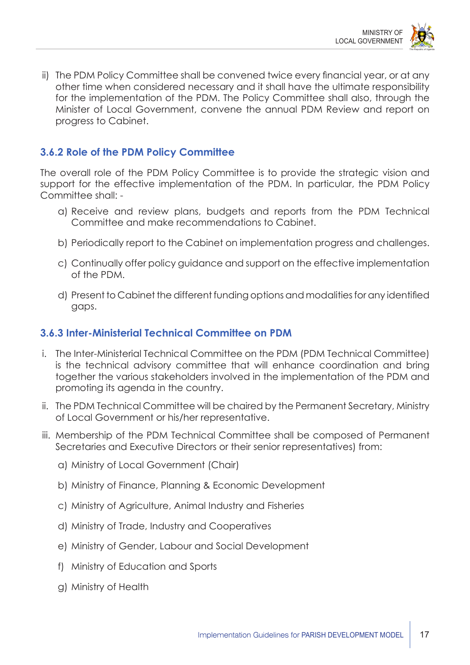

- The Republic of Uganda
- ii) The PDM Policy Committee shall be convened twice every financial year, or at any other time when considered necessary and it shall have the ultimate responsibility for the implementation of the PDM. The Policy Committee shall also, through the Minister of Local Government, convene the annual PDM Review and report on progress to Cabinet.

### **3.6.2 Role of the PDM Policy Committee**

The overall role of the PDM Policy Committee is to provide the strategic vision and support for the effective implementation of the PDM. In particular, the PDM Policy Committee shall: -

- a) Receive and review plans, budgets and reports from the PDM Technical Committee and make recommendations to Cabinet.
- b) Periodically report to the Cabinet on implementation progress and challenges.
- c) Continually offer policy guidance and support on the effective implementation of the PDM.
- d) Present to Cabinet the different funding options and modalities for any identified gaps.

#### **3.6.3 Inter-Ministerial Technical Committee on PDM**

- i. The Inter-Ministerial Technical Committee on the PDM (PDM Technical Committee) is the technical advisory committee that will enhance coordination and bring together the various stakeholders involved in the implementation of the PDM and promoting its agenda in the country.
- ii. The PDM Technical Committee will be chaired by the Permanent Secretary, Ministry of Local Government or his/her representative.
- iii. Membership of the PDM Technical Committee shall be composed of Permanent Secretaries and Executive Directors or their senior representatives) from:
	- a) Ministry of Local Government (Chair)
	- b) Ministry of Finance, Planning & Economic Development
	- c) Ministry of Agriculture, Animal Industry and Fisheries
	- d) Ministry of Trade, Industry and Cooperatives
	- e) Ministry of Gender, Labour and Social Development
	- f) Ministry of Education and Sports
	- g) Ministry of Health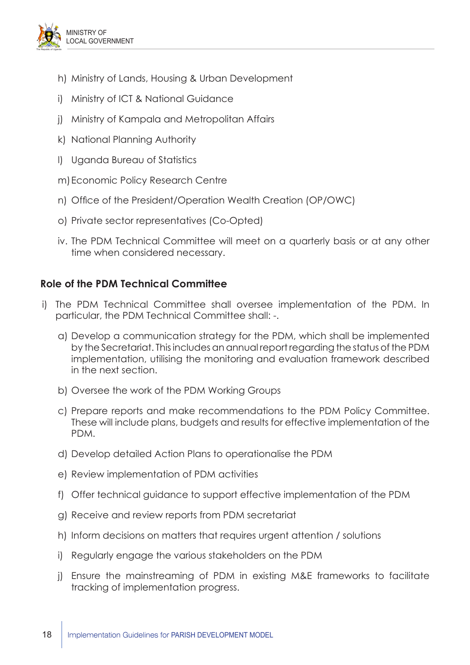

- h) Ministry of Lands, Housing & Urban Development
- i) Ministry of ICT & National Guidance
- j) Ministry of Kampala and Metropolitan Affairs
- k) National Planning Authority
- l) Uganda Bureau of Statistics
- m)Economic Policy Research Centre
- n) Office of the President/Operation Wealth Creation (OP/OWC)
- o) Private sector representatives (Co-Opted)
- iv. The PDM Technical Committee will meet on a quarterly basis or at any other time when considered necessary.

#### **Role of the PDM Technical Committee**

- i) The PDM Technical Committee shall oversee implementation of the PDM. In particular, the PDM Technical Committee shall: -.
	- a) Develop a communication strategy for the PDM, which shall be implemented by the Secretariat. This includes an annual report regarding the status of the PDM implementation, utilising the monitoring and evaluation framework described in the next section.
	- b) Oversee the work of the PDM Working Groups
	- c) Prepare reports and make recommendations to the PDM Policy Committee. These will include plans, budgets and results for effective implementation of the PDM.
	- d) Develop detailed Action Plans to operationalise the PDM
	- e) Review implementation of PDM activities
	- f) Offer technical guidance to support effective implementation of the PDM
	- g) Receive and review reports from PDM secretariat
	- h) Inform decisions on matters that requires urgent attention / solutions
	- i) Regularly engage the various stakeholders on the PDM
	- j) Ensure the mainstreaming of PDM in existing M&E frameworks to facilitate tracking of implementation progress.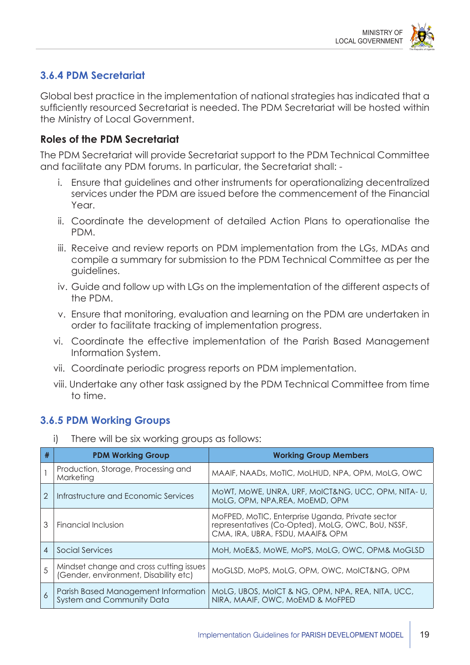

### **3.6.4 PDM Secretariat**

Global best practice in the implementation of national strategies has indicated that a sufficiently resourced Secretariat is needed. The PDM Secretariat will be hosted within the Ministry of Local Government.

#### **Roles of the PDM Secretariat**

The PDM Secretariat will provide Secretariat support to the PDM Technical Committee and facilitate any PDM forums. In particular, the Secretariat shall: -

- i. Ensure that guidelines and other instruments for operationalizing decentralized services under the PDM are issued before the commencement of the Financial Year
- ii. Coordinate the development of detailed Action Plans to operationalise the PDM.
- iii. Receive and review reports on PDM implementation from the LGs, MDAs and compile a summary for submission to the PDM Technical Committee as per the guidelines.
- iv. Guide and follow up with LGs on the implementation of the different aspects of the PDM.
- v. Ensure that monitoring, evaluation and learning on the PDM are undertaken in order to facilitate tracking of implementation progress.
- vi. Coordinate the effective implementation of the Parish Based Management Information System.
- vii. Coordinate periodic progress reports on PDM implementation.
- viii. Undertake any other task assigned by the PDM Technical Committee from time to time.

#### **3.6.5 PDM Working Groups**

i) There will be six working groups as follows:

| #              | <b>PDM Working Group</b>                                                         | <b>Working Group Members</b>                                                                                                              |  |  |
|----------------|----------------------------------------------------------------------------------|-------------------------------------------------------------------------------------------------------------------------------------------|--|--|
|                | Production, Storage, Processing and<br>Marketing                                 | MAAIF, NAADs, MoTIC, MoLHUD, NPA, OPM, MoLG, OWC                                                                                          |  |  |
| $\mathcal{P}$  | Infrastructure and Economic Services                                             | MOWT, MOWE, UNRA, URF, MOICT&NG, UCC, OPM, NITA-U,<br>MoLG, OPM, NPA, REA, MOEMD, OPM                                                     |  |  |
| 3              | Financial Inclusion                                                              | MoFPED, MoTIC, Enterprise Uganda, Private sector<br>representatives (Co-Opted), MoLG, OWC, BoU, NSSF,<br>CMA, IRA, UBRA, FSDU, MAAIF& OPM |  |  |
| $\overline{4}$ | Social Services                                                                  | MoH, MoE&S, MoWE, MoPS, MoLG, OWC, OPM& MoGLSD                                                                                            |  |  |
| 5              | Mindset change and cross cutting issues<br>(Gender, environment, Disability etc) | MoGLSD, MoPS, MoLG, OPM, OWC, MoICT&NG, OPM                                                                                               |  |  |
| 6              | Parish Based Management Information<br><b>System and Community Data</b>          | MoLG, UBOS, MoICT & NG, OPM, NPA, REA, NITA, UCC,<br>NIRA, MAAIF, OWC, MOEMD & MOFPED                                                     |  |  |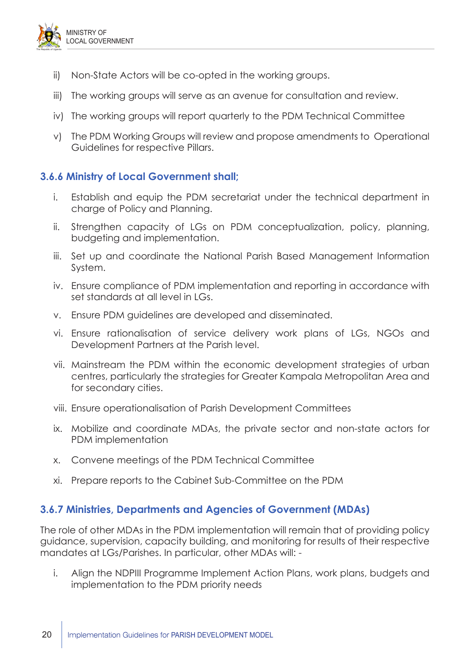The Republic of Uganda

- ii) Non-State Actors will be co-opted in the working groups.
- iii) The working groups will serve as an avenue for consultation and review.
- iv) The working groups will report quarterly to the PDM Technical Committee
- v) The PDM Working Groups will review and propose amendments to Operational Guidelines for respective Pillars.

#### **3.6.6 Ministry of Local Government shall;**

- i. Establish and equip the PDM secretariat under the technical department in charge of Policy and Planning.
- ii. Strengthen capacity of LGs on PDM conceptualization, policy, planning, budgeting and implementation.
- iii. Set up and coordinate the National Parish Based Management Information System.
- iv. Ensure compliance of PDM implementation and reporting in accordance with set standards at all level in LGs.
- v. Ensure PDM guidelines are developed and disseminated.
- vi. Ensure rationalisation of service delivery work plans of LGs, NGOs and Development Partners at the Parish level.
- vii. Mainstream the PDM within the economic development strategies of urban centres, particularly the strategies for Greater Kampala Metropolitan Area and for secondary cities.
- viii. Ensure operationalisation of Parish Development Committees
- ix. Mobilize and coordinate MDAs, the private sector and non-state actors for PDM implementation
- x. Convene meetings of the PDM Technical Committee
- xi. Prepare reports to the Cabinet Sub-Committee on the PDM

#### **3.6.7 Ministries, Departments and Agencies of Government (MDAs)**

The role of other MDAs in the PDM implementation will remain that of providing policy guidance, supervision, capacity building, and monitoring for results of their respective mandates at LGs/Parishes. In particular, other MDAs will: -

i. Align the NDPIII Programme Implement Action Plans, work plans, budgets and implementation to the PDM priority needs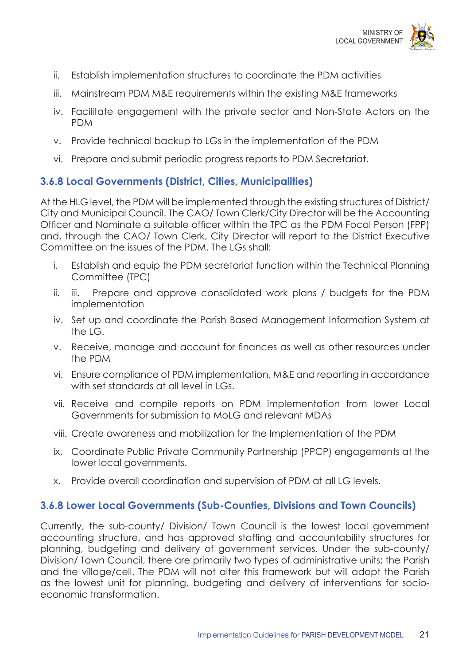

- ii. Establish implementation structures to coordinate the PDM activities
- iii. Mainstream PDM M&E requirements within the existing M&E frameworks
- iv. Facilitate engagement with the private sector and Non-State Actors on the PDM
- v. Provide technical backup to LGs in the implementation of the PDM
- vi. Prepare and submit periodic progress reports to PDM Secretariat.

#### **3.6.8 Local Governments (District, Cities, Municipalities)**

At the HLG level, the PDM will be implemented through the existing structures of District/ City and Municipal Council. The CAO/ Town Clerk/City Director will be the Accounting Officer and Nominate a suitable officer within the TPC as the PDM Focal Person (FPP) and, through the CAO/ Town Clerk, City Director will report to the District Executive Committee on the issues of the PDM. The LGs shall:

- i. Establish and equip the PDM secretariat function within the Technical Planning Committee (TPC)
- ii. iii. Prepare and approve consolidated work plans / budgets for the PDM implementation
- iv. Set up and coordinate the Parish Based Management Information System at the  $LG$
- v. Receive, manage and account for finances as well as other resources under the PDM
- vi. Ensure compliance of PDM implementation, M&E and reporting in accordance with set standards at all level in LGs.
- vii. Receive and compile reports on PDM implementation from lower Local Governments for submission to MoLG and relevant MDAs
- viii. Create awareness and mobilization for the Implementation of the PDM
- ix. Coordinate Public Private Community Partnership (PPCP) engagements at the lower local governments.
- x. Provide overall coordination and supervision of PDM at all LG levels.

#### **3.6.8 Lower Local Governments (Sub-Counties, Divisions and Town Councils)**

Currently, the sub-county/ Division/ Town Council is the lowest local government accounting structure, and has approved staffing and accountability structures for planning, budgeting and delivery of government services. Under the sub-county/ Division/ Town Council, there are primarily two types of administrative units; the Parish and the village/cell. The PDM will not alter this framework but will adopt the Parish as the lowest unit for planning, budgeting and delivery of interventions for socioeconomic transformation.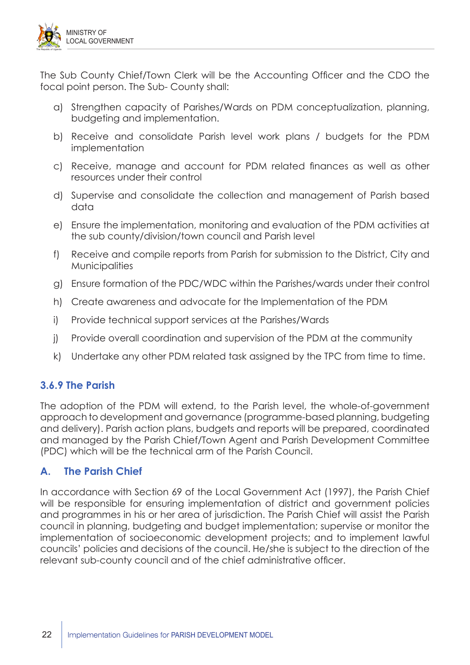

The Sub County Chief/Town Clerk will be the Accounting Officer and the CDO the focal point person. The Sub- County shall:

- a) Strengthen capacity of Parishes/Wards on PDM conceptualization, planning, budgeting and implementation.
- b) Receive and consolidate Parish level work plans / budgets for the PDM implementation
- c) Receive, manage and account for PDM related finances as well as other resources under their control
- d) Supervise and consolidate the collection and management of Parish based data
- e) Ensure the implementation, monitoring and evaluation of the PDM activities at the sub county/division/town council and Parish level
- f) Receive and compile reports from Parish for submission to the District, City and **Municipalities**
- g) Ensure formation of the PDC/WDC within the Parishes/wards under their control
- h) Create awareness and advocate for the Implementation of the PDM
- i) Provide technical support services at the Parishes/Wards
- j) Provide overall coordination and supervision of the PDM at the community
- k) Undertake any other PDM related task assigned by the TPC from time to time.

#### **3.6.9 The Parish**

The adoption of the PDM will extend, to the Parish level, the whole-of-government approach to development and governance (programme-based planning, budgeting and delivery). Parish action plans, budgets and reports will be prepared, coordinated and managed by the Parish Chief/Town Agent and Parish Development Committee (PDC) which will be the technical arm of the Parish Council.

#### **A. The Parish Chief**

In accordance with Section 69 of the Local Government Act (1997), the Parish Chief will be responsible for ensuring implementation of district and government policies and programmes in his or her area of jurisdiction. The Parish Chief will assist the Parish council in planning, budgeting and budget implementation; supervise or monitor the implementation of socioeconomic development projects; and to implement lawful councils' policies and decisions of the council. He/she is subject to the direction of the relevant sub-county council and of the chief administrative officer.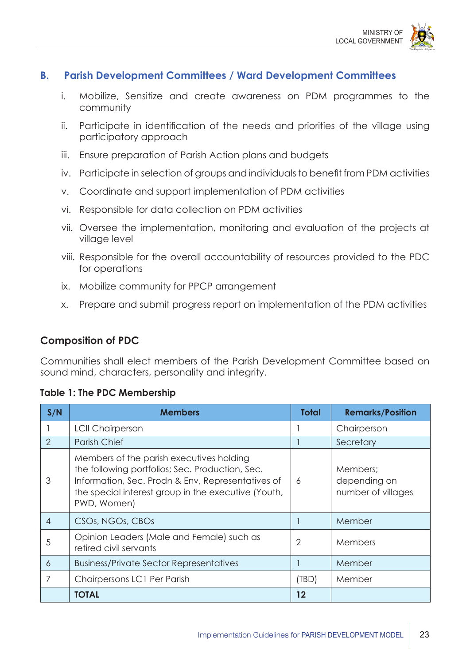

#### **B. Parish Development Committees / Ward Development Committees**

- i. Mobilize, Sensitize and create awareness on PDM programmes to the community
- ii. Participate in identification of the needs and priorities of the village using participatory approach
- iii. Ensure preparation of Parish Action plans and budgets
- iv. Participate in selection of groups and individuals to benefit from PDM activities
- v. Coordinate and support implementation of PDM activities
- vi. Responsible for data collection on PDM activities
- vii. Oversee the implementation, monitoring and evaluation of the projects at village level
- viii. Responsible for the overall accountability of resources provided to the PDC for operations
- ix. Mobilize community for PPCP arrangement
- x. Prepare and submit progress report on implementation of the PDM activities

#### **Composition of PDC**

Communities shall elect members of the Parish Development Committee based on sound mind, characters, personality and integrity.

#### **Table 1: The PDC Membership**

| S/N            | <b>Members</b>                                                                                                                                                                                                         | <b>Total</b>   | <b>Remarks/Position</b>                        |
|----------------|------------------------------------------------------------------------------------------------------------------------------------------------------------------------------------------------------------------------|----------------|------------------------------------------------|
|                | <b>LCII Chairperson</b>                                                                                                                                                                                                |                | Chairperson                                    |
| $\overline{2}$ | <b>Parish Chief</b>                                                                                                                                                                                                    |                | Secretary                                      |
| 3              | Members of the parish executives holding<br>the following portfolios; Sec. Production, Sec.<br>Information, Sec. Prodn & Env, Representatives of<br>the special interest group in the executive (Youth,<br>PWD, Women) | 6              | Members;<br>depending on<br>number of villages |
| $\overline{4}$ | CSOs, NGOs, CBOs                                                                                                                                                                                                       |                | Member                                         |
| 5              | Opinion Leaders (Male and Female) such as<br>retired civil servants                                                                                                                                                    | $\overline{2}$ | Members                                        |
| 6              | <b>Business/Private Sector Representatives</b>                                                                                                                                                                         |                | Member                                         |
| 7              | Chairpersons LC1 Per Parish                                                                                                                                                                                            | (TBD)          | Member                                         |
|                | <b>TOTAL</b>                                                                                                                                                                                                           | 12             |                                                |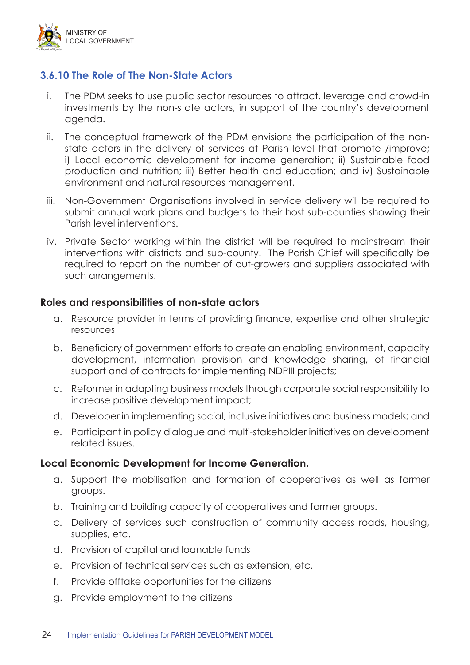

### **3.6.10 The Role of The Non-State Actors**

- i. The PDM seeks to use public sector resources to attract, leverage and crowd-in investments by the non-state actors, in support of the country's development agenda.
- ii. The conceptual framework of the PDM envisions the participation of the nonstate actors in the delivery of services at Parish level that promote /improve; i) Local economic development for income generation; ii) Sustainable food production and nutrition; iii) Better health and education; and iv) Sustainable environment and natural resources management.
- iii. Non-Government Organisations involved in service delivery will be required to submit annual work plans and budgets to their host sub-counties showing their Parish level interventions.
- iv. Private Sector working within the district will be required to mainstream their interventions with districts and sub-county. The Parish Chief will specifically be required to report on the number of out-growers and suppliers associated with such arrangements.

#### **Roles and responsibilities of non-state actors**

- a. Resource provider in terms of providing finance, expertise and other strategic resources
- b. Beneficiary of government efforts to create an enabling environment, capacity development, information provision and knowledge sharing, of financial support and of contracts for implementing NDPIII projects;
- c. Reformer in adapting business models through corporate social responsibility to increase positive development impact;
- d. Developer in implementing social, inclusive initiatives and business models; and
- e. Participant in policy dialogue and multi-stakeholder initiatives on development related issues.

#### **Local Economic Development for Income Generation.**

- a. Support the mobilisation and formation of cooperatives as well as farmer groups.
- b. Training and building capacity of cooperatives and farmer groups.
- c. Delivery of services such construction of community access roads, housing, supplies, etc.
- d. Provision of capital and loanable funds
- e. Provision of technical services such as extension, etc.
- f. Provide offtake opportunities for the citizens
- g. Provide employment to the citizens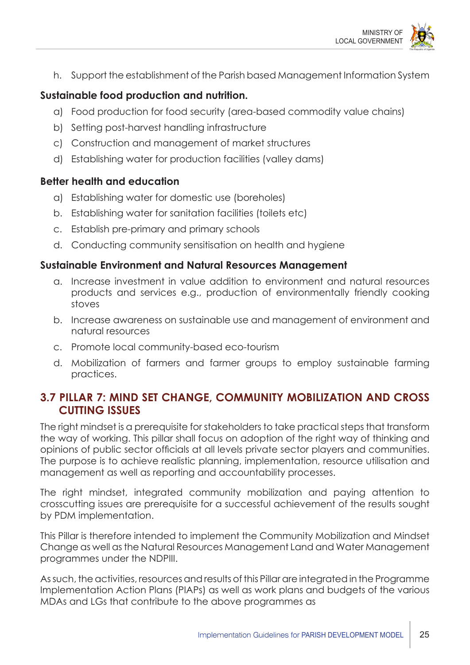

h. Support the establishment of the Parish based Management Information System

## **Sustainable food production and nutrition.**

- a) Food production for food security (area-based commodity value chains)
- b) Setting post-harvest handling infrastructure
- c) Construction and management of market structures
- d) Establishing water for production facilities (valley dams)

## **Better health and education**

- a) Establishing water for domestic use (boreholes)
- b. Establishing water for sanitation facilities (toilets etc)
- c. Establish pre-primary and primary schools
- d. Conducting community sensitisation on health and hygiene

## **Sustainable Environment and Natural Resources Management**

- a. Increase investment in value addition to environment and natural resources products and services e.g., production of environmentally friendly cooking stoves
- b. Increase awareness on sustainable use and management of environment and natural resources
- c. Promote local community-based eco-tourism
- d. Mobilization of farmers and farmer groups to employ sustainable farming practices.

## **3.7 PILLAR 7: MIND SET CHANGE, COMMUNITY MOBILIZATION AND CROSS CUTTING ISSUES**

The right mindset is a prerequisite for stakeholders to take practical steps that transform the way of working. This pillar shall focus on adoption of the right way of thinking and opinions of public sector officials at all levels private sector players and communities. The purpose is to achieve realistic planning, implementation, resource utilisation and management as well as reporting and accountability processes.

The right mindset, integrated community mobilization and paying attention to crosscutting issues are prerequisite for a successful achievement of the results sought by PDM implementation.

This Pillar is therefore intended to implement the Community Mobilization and Mindset Change as well as the Natural Resources Management Land and Water Management programmes under the NDPIII.

As such, the activities, resources and results of this Pillar are integrated in the Programme Implementation Action Plans (PIAPs) as well as work plans and budgets of the various MDAs and LGs that contribute to the above programmes as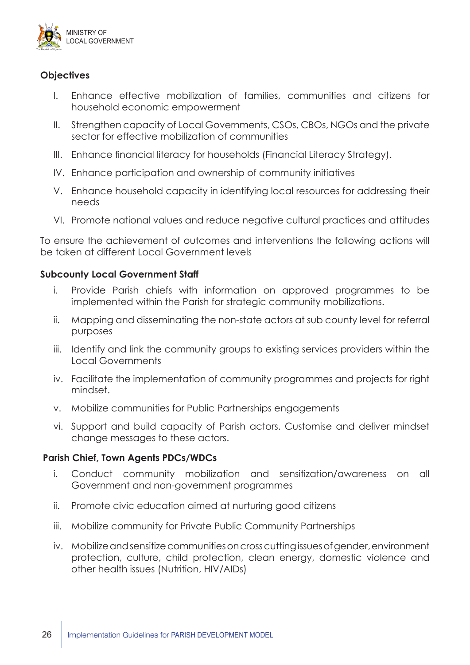

#### **Objectives**

- I. Enhance effective mobilization of families, communities and citizens for household economic empowerment
- II. Strengthen capacity of Local Governments, CSOs, CBOs, NGOs and the private sector for effective mobilization of communities
- III. Enhance financial literacy for households (Financial Literacy Strategy).
- IV. Enhance participation and ownership of community initiatives
- V. Enhance household capacity in identifying local resources for addressing their needs
- VI. Promote national values and reduce negative cultural practices and attitudes

To ensure the achievement of outcomes and interventions the following actions will be taken at different Local Government levels

#### **Subcounty Local Government Staff**

- i. Provide Parish chiefs with information on approved programmes to be implemented within the Parish for strategic community mobilizations.
- ii. Mapping and disseminating the non-state actors at sub county level for referral purposes
- iii. Identify and link the community groups to existing services providers within the Local Governments
- iv. Facilitate the implementation of community programmes and projects for right mindset.
- v. Mobilize communities for Public Partnerships engagements
- vi. Support and build capacity of Parish actors. Customise and deliver mindset change messages to these actors.

#### **Parish Chief, Town Agents PDCs/WDCs**

- i. Conduct community mobilization and sensitization/awareness on all Government and non-government programmes
- ii. Promote civic education aimed at nurturing good citizens
- iii. Mobilize community for Private Public Community Partnerships
- iv. Mobilize and sensitize communities on cross cutting issues of gender, environment protection, culture, child protection, clean energy, domestic violence and other health issues (Nutrition, HIV/AIDs)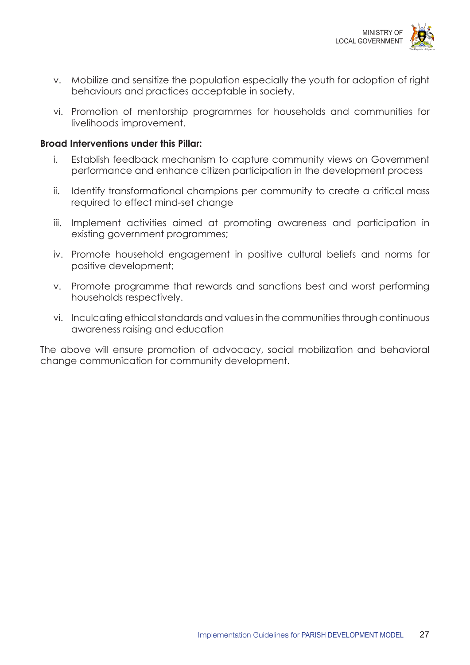

- v. Mobilize and sensitize the population especially the youth for adoption of right behaviours and practices acceptable in society.
- vi. Promotion of mentorship programmes for households and communities for livelihoods improvement.

#### **Broad Interventions under this Pillar:**

- i. Establish feedback mechanism to capture community views on Government performance and enhance citizen participation in the development process
- ii. Identify transformational champions per community to create a critical mass required to effect mind-set change
- iii. Implement activities aimed at promoting awareness and participation in existing government programmes;
- iv. Promote household engagement in positive cultural beliefs and norms for positive development;
- v. Promote programme that rewards and sanctions best and worst performing households respectively.
- vi. Inculcating ethical standards and values in the communities through continuous awareness raising and education

The above will ensure promotion of advocacy, social mobilization and behavioral change communication for community development.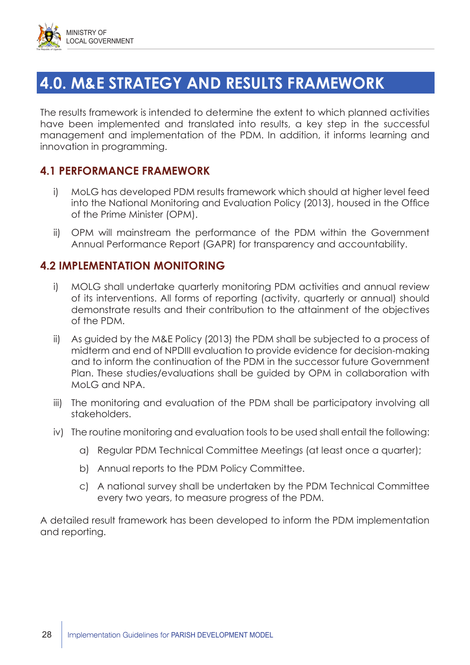

## **4.0. M&E STRATEGY AND RESULTS FRAMEWORK**

The results framework is intended to determine the extent to which planned activities have been implemented and translated into results, a key step in the successful management and implementation of the PDM. In addition, it informs learning and innovation in programming.

### **4.1 PERFORMANCE FRAMEWORK**

- i) MoLG has developed PDM results framework which should at higher level feed into the National Monitoring and Evaluation Policy (2013), housed in the Office of the Prime Minister (OPM).
- ii) OPM will mainstream the performance of the PDM within the Government Annual Performance Report (GAPR) for transparency and accountability.

#### **4.2 IMPLEMENTATION MONITORING**

- i) MOLG shall undertake quarterly monitoring PDM activities and annual review of its interventions. All forms of reporting (activity, quarterly or annual) should demonstrate results and their contribution to the attainment of the objectives of the PDM.
- ii) As guided by the M&E Policy (2013) the PDM shall be subjected to a process of midterm and end of NPDIII evaluation to provide evidence for decision-making and to inform the continuation of the PDM in the successor future Government Plan. These studies/evaluations shall be guided by OPM in collaboration with MoLG and NPA.
- iii) The monitoring and evaluation of the PDM shall be participatory involving all stakeholders.
- iv) The routine monitoring and evaluation tools to be used shall entail the following:
	- a) Regular PDM Technical Committee Meetings (at least once a quarter);
	- b) Annual reports to the PDM Policy Committee.
	- c) A national survey shall be undertaken by the PDM Technical Committee every two years, to measure progress of the PDM.

A detailed result framework has been developed to inform the PDM implementation and reporting.